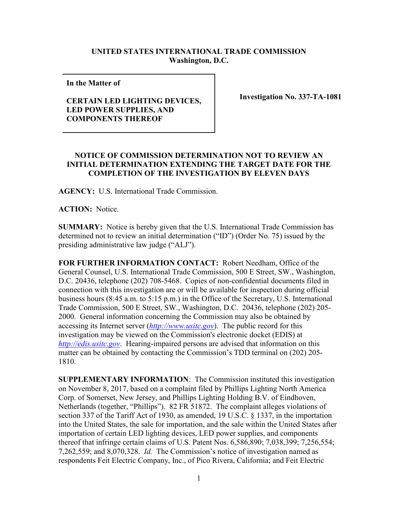## **UNITED STATES INTERNATIONAL TRADE COMMISSION Washington, D.C.**

**In the Matter of** 

## **CERTAIN LED LIGHTING DEVICES, LED POWER SUPPLIES, AND COMPONENTS THEREOF**

**Investigation No. 337-TA-1081**

## **NOTICE OF COMMISSION DETERMINATION NOT TO REVIEW AN INITIAL DETERMINATION EXTENDING THE TARGET DATE FOR THE COMPLETION OF THE INVESTIGATION BY ELEVEN DAYS**

**AGENCY:** U.S. International Trade Commission.

**ACTION:** Notice.

**SUMMARY:** Notice is hereby given that the U.S. International Trade Commission has determined not to review an initial determination ("ID") (Order No. 75) issued by the presiding administrative law judge ("ALJ").

**FOR FURTHER INFORMATION CONTACT:** Robert Needham, Office of the General Counsel, U.S. International Trade Commission, 500 E Street, SW., Washington, D.C. 20436, telephone (202) 708-5468. Copies of non-confidential documents filed in connection with this investigation are or will be available for inspection during official business hours (8:45 a.m. to 5:15 p.m.) in the Office of the Secretary, U.S. International Trade Commission, 500 E Street, SW., Washington, D.C. 20436, telephone (202) 205- 2000. General information concerning the Commission may also be obtained by accessing its Internet server (*[http://www.usitc.gov](http://www.usitc.gov/)*). The public record for this investigation may be viewed on the Commission's electronic docket (EDIS) at *[http://edis.usitc.gov](http://edis.usitc.gov/)*. Hearing-impaired persons are advised that information on this matter can be obtained by contacting the Commission's TDD terminal on (202) 205- 1810.

**SUPPLEMENTARY INFORMATION**: The Commission instituted this investigation on November 8, 2017, based on a complaint filed by Phillips Lighting North America Corp. of Somerset, New Jersey, and Phillips Lighting Holding B.V. of Eindhoven, Netherlands (together, "Phillips"). 82 FR 51872. The complaint alleges violations of section 337 of the Tariff Act of 1930, as amended, 19 U.S.C. § 1337, in the importation into the United States, the sale for importation, and the sale within the United States after importation of certain LED lighting devices, LED power supplies, and components thereof that infringe certain claims of U.S. Patent Nos. 6,586,890; 7,038,399; 7,256,554; 7,262,559; and 8,070,328. *Id.* The Commission's notice of investigation named as respondents Feit Electric Company, Inc., of Pico Rivera, California; and Feit Electric